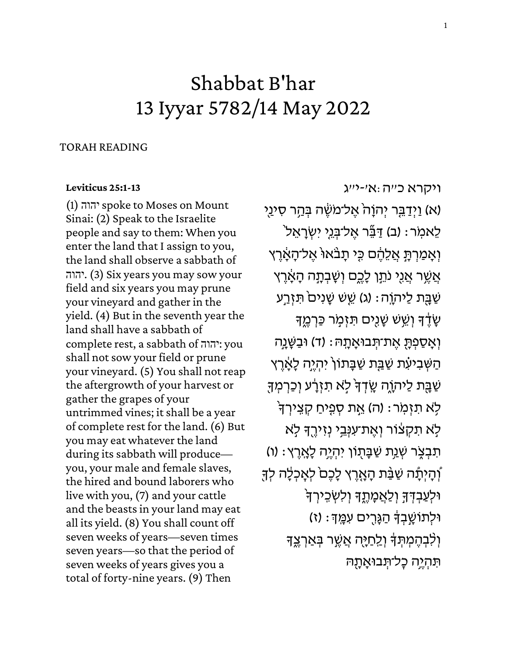## Shabbat B'har 13 Iyyar 5782/14 May 2022

## TORAH READING

## **[Leviticus 25:1-13](https://www.sefaria.org/Leviticus.25.1-13)**

(1) יהוהspoke to Moses on Mount Sinai: (2) Speak to the Israelite people and say to them: When you enter the land that I assign to you, the land shall observe a sabbath of יהוה. (3) Six years you may sow your field and six years you may prune your vineyard and gather in the yield. (4) But in the seventh year the land shall have a sabbath of complete rest, a sabbath of יהוה: you shall not sow your field or prune your vineyard. (5) You shall not reap the aftergrowth of your harvest or gather the grapes of your untrimmed vines; it shall be a year of complete rest for the land. (6) But you may eat whatever the land during its sabbath will produce you, your male and female slaves, the hired and bound laborers who live with you, (7) and your cattle and the beasts in your land may eat all its yield. (8) You shall count off seven weeks of years—seven times seven years—so that the period of seven weeks of years gives you a total of forty-nine years. (9) Then

[ויקרא](https://www.sefaria.org/Leviticus.25.1-13) [כ״ה:א׳-י״ג](https://www.sefaria.org/Leviticus.25.1-13)  (א) וַיְדַבֵּר יְהוָהֹ אֶל־מֹשֶׂה בְּהַר סִינַי ֿלֵאמִר: (ב) דַּבֶּר אֱל־בְּנֵי יִשְׂרָאֱלֹ וְ אָמַרְתָּ אֲלֵהֶם כֵּי תָבֹאוּ אֱל־הָאֶרֵץ אֵשֶׁר אֲנֵי נֹתֵן לַכֶּם וְשַׁבְתָה הַאֲרֵץ שַׁבָּת לַיהוָה: (ג) שֵׁשׁ שָׁנִים<sup>ֹ</sup> תִּזְרַע ְשָׂיֵּד וְשֵׁשׁ שָׁנֻיִּם תִּזְמָר כַּרְמֶד וְאָסַפְתָּ אֶת־תְּבוּאָתָהּ : (ד) וּבַשָּׁנָָה הַשְׁבִיעָׁת שַׁבַָּת שַׁבָּתוֹן יִהְיֶה לָאֶרֶץ ּשַׁבָּת לַיהָוֶה שֳדְךָּ לְא תִזְרָע וְכַרְמְךָ ֹלְא תִזְמְר: (ה) אֱת סְפֵיחַ קָצֵירְךָ ַּלְא תִקְצוֹר וְאֵת־עִנְּבֵי נִזִירֵךְ לְא ֿתִּבְצֶׂר שְׁנַת שַׁבָּתָוֹן יִהְיֶה לָאֲרֶץ: (ו) ֿוְהָיִתָּ֫ה שַׁבַּּ֫ת הָאָרֵץ לָכֶם<sup>ֹ</sup> לִאֲכִלָּה לְדָּ וּלְעַבְדְּדְּ וְלַאֲמָתֶךְ וְלִשְׁבֵירְךָ וּלְתוֹשָׁבִדְּ הַגָּרְים עִמֲדְ: (ז) וְלִבְהֶמְתְּדָּ וְלֵחַיֶּה אֲשֶׁר בְּאַרְצֶדָּ תִּהְיֶה כַל־תִּבוּאֲתָהּ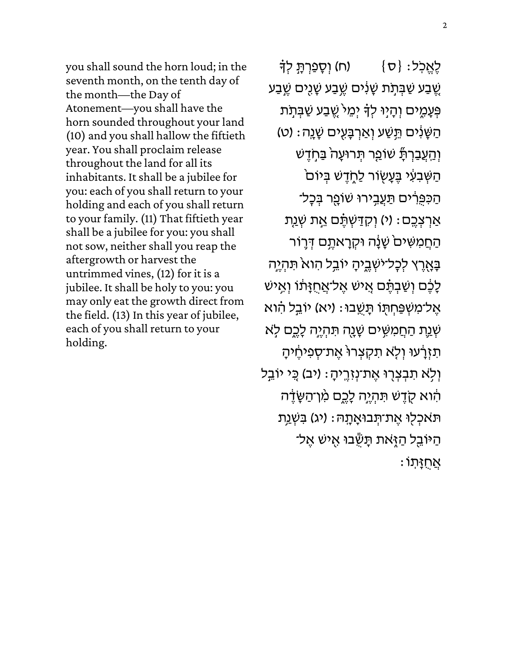you shall sound the horn loud; in the seventh month, on the tenth day of the month—the Day of Atonement—you shall have the horn sounded throughout your land (10) and you shall hallow the fiftieth year. You shall proclaim release throughout the land for all its inhabitants. It shall be a jubilee for you: each of you shall return to your holding and each of you shall return to your family. (11) That fiftieth year shall be a jubilee for you: you shall not sow, neither shall you reap the aftergrowth or harvest the untrimmed vines, (12) for it is a jubilee. It shall be holy to you: you may only eat the growth direct from the field. (13) In this year of jubilee, each of you shall return to your holding.

לֶאֱכְל: {ס $\}$  (ח) וִ סְפַרְתָּ לְדָּ ָשֶׁבַע שַׁבְּתָׂת שָׁנִים שֶֽׁבַע שָׁנֻים שֶֽׁבַע פְּעָמֶים וְהָיָוּ לְדָּ יְמֵיֹ שֱבַע שַׁבְּתָׂת ֹהַשָּׁנִּ֫יִּם תֵּשַׁע וְאַרְבָּעֻיִּם שָׁנֵה׃ (ט) וְהַעֲבַרְתָື שוֹפַר תְּרוּעָה בַּחְדֶשׁ ֿהַשְּׁבִעִּי בֶּעֲשָׂוֹר לַחֶדֶשׁ בְּיוֹם ּהַכִּפְרִים תַּעֲבִירוּ שוֹפֵר בְּכָל־ אַרְצְבֶם: (י) וְקִדַּשְׁתֶּٔם אֶת שְׁנַת הַחֲמִשִּׁיםֹ שָׁנָּה וּקְרָאתֶם דְּרֶוֹר בְּאֶרֶץ לְכָל־יֹשְׁבֱיהָ יוֹבֵל הִואֹ תִּהְיֶה לָבֶׁם וְשַׁבְתֶּ֫ם אֳישׁ אֱל־אֲחֻזָּתוֹ וְאִישׁ ּאֱל־מִשְׁפַּחִתְּוֹ תַּשֶֽבוּ: (יא) יוֹבֵל הִוא ֹשְׁנֵ֣ת הַחֲמִשְּׁים שָׁנֻה תִּהְיֵ֥ה לָכֵם לְא ת ְזֶֽדָּׁעוּ וְלָא תִקְצְרוּ אֶת־סְפִיחֶיהָ וְלָא תִבְצְרָוּ אֶת־נְזָרֶיהָ: (יב) כֻּי יוֹבֵל הִ֫וֹא קֻדֶשׁ תִּהְיֶה לָכֶם מִ֫ו־הַשָּׂדֶ֣ה תֹּאכְלִוּ אֶת־תְּבוּאָתָה: (יג) בִּשְׁנַת ְהַיּוֹבֵל הַזְּאת תַּשְׂבוּ אִישׁ אֵל־  $\mathbf{M}$ יתוֹ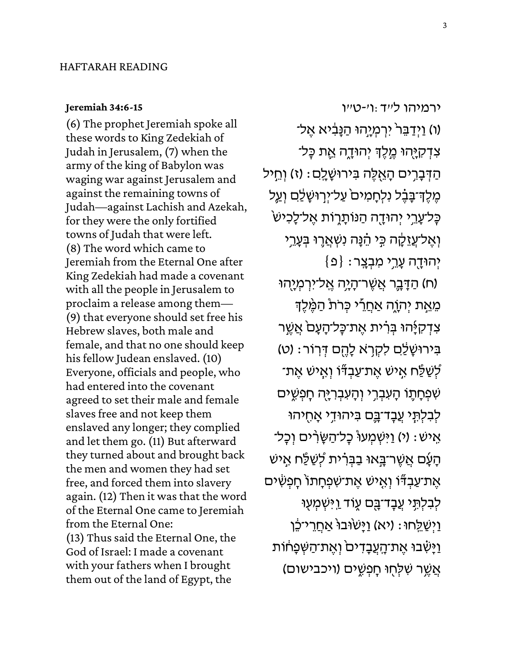## **[Jeremiah 34:6-15](https://www.sefaria.org/Jeremiah.34.6-15)**

(6) The prophet Jeremiah spoke all these words to King Zedekiah of Judah in Jerusalem, (7) when the army of the king of Babylon was waging war against Jerusalem and against the remaining towns of Judah—against Lachish and Azekah, for they were the only fortified towns of Judah that were left. (8) The word which came to Jeremiah from the Eternal One after King Zedekiah had made a covenant with all the people in Jerusalem to proclaim a release among them— (9) that everyone should set free his Hebrew slaves, both male and female, and that no one should keep his fellow Judean enslaved. (10) Everyone, officials and people, who had entered into the covenant agreed to set their male and female slaves free and not keep them enslaved any longer; they complied and let them go. (11) But afterward they turned about and brought back the men and women they had set free, and forced them into slavery again. (12) Then it was that the word of the Eternal One came to Jeremiah from the Eternal One: (13) Thus said the Eternal One, the God of Israel: I made a covenant with your fathers when I brought them out of the land of Egypt, the

[ירמיהו](https://www.sefaria.org/Jeremiah.34.6-15) [ל״ד:ו׳-ט״ו](https://www.sefaria.org/Jeremiah.34.6-15)  (ו) וַיְדַבֵּר<sup>י</sup> יִרְמְיָהוּ הַנָּבִיא אֶל־ צִדְקִיָּהוּ מֶלֶדְ יְהוּדֶה אֶת כָּל־ ּהַדְּבָרִים הָאֻלֶּה בִּירוּשָׁלֵם: (ז) וְחֵיל מֶלֶדְ־בָּבֶ֫ל נִלְחָמִים<sup>ּ</sup> עַל־יְרְוּשָׁלַּם וְעֵ*ל* ּכָּל־עָרֵי יְהוּדָה הַנּוֹתָרֶוֹת אֶל־לָכִישׂ וְאֶל־עֲזֵקָה כְּי הֵ֫נָּה נִשְׁאֲרֶוּ בְּעָרֵי  $\{ \mathfrak{a} \}$  : יְהוּדָה עָרֵי מִבְצֵר (ח) הַדָּבֶר אֲשֶׁר־הָיָה אֱל־יִרְמְיֶהוּ ּמֵאֵת יְהְוֶה אַחֲרֵי כְּרֹת הַמֶּׁלֶךְ צִדְקִיָּהוּ בְּרִ֫ית אֶת־כָּל־הָעָם אֲשֶר ֹבִּירוּשָׁלַם לִקְרָא לָהֶם דְּרְוֹר: (ט) ֿלְשַׁ כָּ֫ח אָישׁ אֶת־עַבְדָּׂוֹ וְאִישׁ אֵת־ שִׁפְּחָתֶו הָעִבְרֶי וְהָעִבְרָיָה חָפְשֵׁים ַלְבִלְתָּי עֲבָד־בֶּם בִּיהוּדִי אָחֻיהוּ ֹאִישׁ: (י) וַיִּשְׁמְעוּ כְל־הַשֶּׂרִים וְכָל־ ֿהָעָׁם אֲשֶר־בָּאוּ בַבְּרִ֫ית לְשַׁלַּח אִישׁ אֶת־עַבְדֶּֿוֹ וְאֶישׁ אֶת־שִׁפְחָתוֹ חָפְשִׂים ַלְבִלְתֶ*י* עֲבָד־בָּם עֶוֹד וַיִּשְׁמְעָוּ וַיְשַׁלֵחוּ: (יא) וַיָּשׂוּבוּ אַחֲרֵי־כֵּ**ׁן** וַיְּשָ<del>ּׁ</del>בוּ אֶת־הָעֲבָדִים<sup>ׂ</sup> וְאֶת־הַשְּׁפָחוֹת אֲשֶׁר שָׁלָחוּ חַפְשֶׁים (ויכבישום)